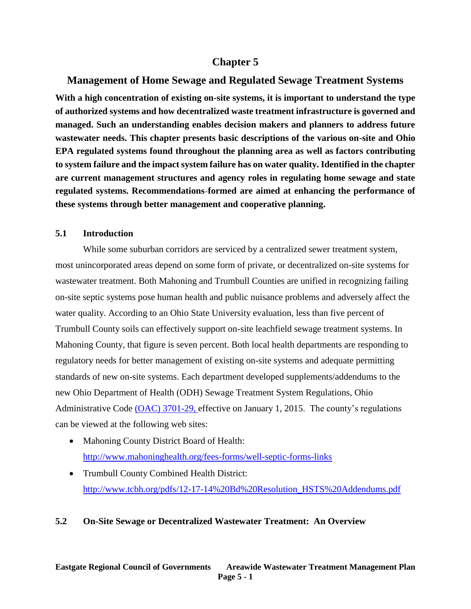# **Chapter 5**

# **Management of Home Sewage and Regulated Sewage Treatment Systems**

**With a high concentration of existing on-site systems, it is important to understand the type of authorized systems and how decentralized waste treatment infrastructure is governed and managed. Such an understanding enables decision makers and planners to address future wastewater needs. This chapter presents basic descriptions of the various on-site and Ohio EPA regulated systems found throughout the planning area as well as factors contributing to system failure and the impact system failure has on water quality. Identified in the chapter are current management structures and agency roles in regulating home sewage and state regulated systems. Recommendations formed are aimed at enhancing the performance of these systems through better management and cooperative planning.**

### **5.1 Introduction**

While some suburban corridors are serviced by a centralized sewer treatment system, most unincorporated areas depend on some form of private, or decentralized on-site systems for wastewater treatment. Both Mahoning and Trumbull Counties are unified in recognizing failing on-site septic systems pose human health and public nuisance problems and adversely affect the water quality. According to an Ohio State University evaluation, less than five percent of Trumbull County soils can effectively support on-site leachfield sewage treatment systems. In Mahoning County, that figure is seven percent. Both local health departments are responding to regulatory needs for better management of existing on-site systems and adequate permitting standards of new on-site systems. Each department developed supplements/addendums to the new Ohio Department of Health (ODH) Sewage Treatment System Regulations, Ohio Administrative Code (OAC) [3701-29,](http://codes.ohio.gov/oac/3701-29) effective on January 1, 2015. The county's regulations can be viewed at the following web sites:

- Mahoning County District Board of Health: <http://www.mahoninghealth.org/fees-forms/well-septic-forms-links>
- Trumbull County Combined Health District: [http://www.tcbh.org/pdfs/12-17-14%20Bd%20Resolution\\_HSTS%20Addendums.pdf](http://www.tcbh.org/pdfs/12-17-14%20Bd%20Resolution_HSTS%20Addendums.pdf)

# **5.2 On-Site Sewage or Decentralized Wastewater Treatment: An Overview**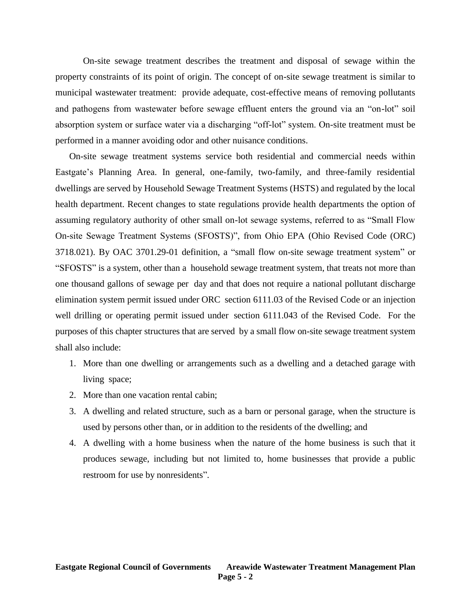On-site sewage treatment describes the treatment and disposal of sewage within the property constraints of its point of origin. The concept of on-site sewage treatment is similar to municipal wastewater treatment: provide adequate, cost-effective means of removing pollutants and pathogens from wastewater before sewage effluent enters the ground via an "on-lot" soil absorption system or surface water via a discharging "off-lot" system. On-site treatment must be performed in a manner avoiding odor and other nuisance conditions.

On-site sewage treatment systems service both residential and commercial needs within Eastgate's Planning Area. In general, one-family, two-family, and three-family residential dwellings are served by Household Sewage Treatment Systems (HSTS) and regulated by the local health department. Recent changes to state regulations provide health departments the option of assuming regulatory authority of other small on-lot sewage systems, referred to as "Small Flow On-site Sewage Treatment Systems (SFOSTS)", from Ohio EPA (Ohio Revised Code (ORC) 3718.021). By OAC 3701.29-01 definition, a "small flow on-site sewage treatment system" or "SFOSTS" is a system, other than a household sewage treatment system, that treats not more than one thousand gallons of sewage per day and that does not require a national pollutant discharge elimination system permit issued under ORC section 6111.03 of the Revised Code or an injection well drilling or operating permit issued under section 6111.043 of the Revised Code. For the purposes of this chapter structures that are served by a small flow on-site sewage treatment system shall also include:

- 1. More than one dwelling or arrangements such as a dwelling and a detached garage with living space;
- 2. More than one vacation rental cabin;
- 3. A dwelling and related structure, such as a barn or personal garage, when the structure is used by persons other than, or in addition to the residents of the dwelling; and
- 4. A dwelling with a home business when the nature of the home business is such that it produces sewage, including but not limited to, home businesses that provide a public restroom for use by nonresidents".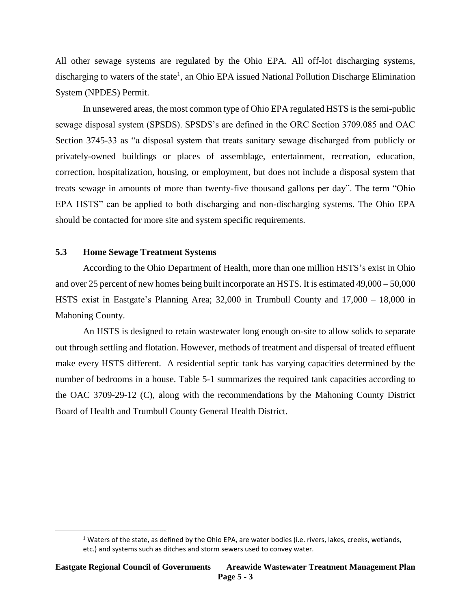All other sewage systems are regulated by the Ohio EPA. All off-lot discharging systems, discharging to waters of the state<sup>1</sup>, an Ohio EPA issued National Pollution Discharge Elimination System (NPDES) Permit.

In unsewered areas, the most common type of Ohio EPA regulated HSTS is the semi-public sewage disposal system (SPSDS). SPSDS's are defined in the ORC Section 3709.085 and OAC Section 3745-33 as "a disposal system that treats sanitary sewage discharged from publicly or privately-owned buildings or places of assemblage, entertainment, recreation, education, correction, hospitalization, housing, or employment, but does not include a disposal system that treats sewage in amounts of more than twenty-five thousand gallons per day". The term "Ohio EPA HSTS" can be applied to both discharging and non-discharging systems. The Ohio EPA should be contacted for more site and system specific requirements.

## **5.3 Home Sewage Treatment Systems**

 $\overline{\phantom{a}}$ 

According to the Ohio Department of Health, more than one million HSTS's exist in Ohio and over 25 percent of new homes being built incorporate an HSTS. It is estimated 49,000 – 50,000 HSTS exist in Eastgate's Planning Area; 32,000 in Trumbull County and 17,000 – 18,000 in Mahoning County.

An HSTS is designed to retain wastewater long enough on-site to allow solids to separate out through settling and flotation. However, methods of treatment and dispersal of treated effluent make every HSTS different. A residential septic tank has varying capacities determined by the number of bedrooms in a house. Table 5-1 summarizes the required tank capacities according to the OAC 3709-29-12 (C), along with the recommendations by the Mahoning County District Board of Health and Trumbull County General Health District.

 $1$  Waters of the state, as defined by the Ohio EPA, are water bodies (i.e. rivers, lakes, creeks, wetlands, etc.) and systems such as ditches and storm sewers used to convey water.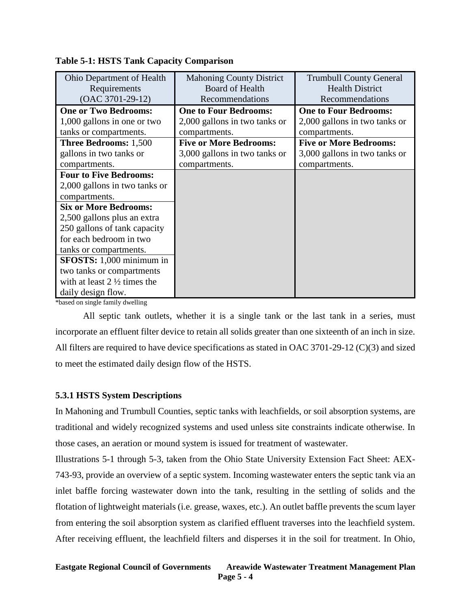| Ohio Department of Health              | <b>Mahoning County District</b> | <b>Trumbull County General</b> |
|----------------------------------------|---------------------------------|--------------------------------|
| Requirements                           | <b>Board of Health</b>          | <b>Health District</b>         |
| $(OAC 3701-29-12)$                     | Recommendations                 | Recommendations                |
| <b>One or Two Bedrooms:</b>            | <b>One to Four Bedrooms:</b>    | <b>One to Four Bedrooms:</b>   |
| 1,000 gallons in one or two            | 2,000 gallons in two tanks or   | 2,000 gallons in two tanks or  |
| tanks or compartments.                 | compartments.                   | compartments.                  |
| <b>Three Bedrooms: 1,500</b>           | <b>Five or More Bedrooms:</b>   | <b>Five or More Bedrooms:</b>  |
| gallons in two tanks or                | 3,000 gallons in two tanks or   | 3,000 gallons in two tanks or  |
| compartments.                          | compartments.                   | compartments.                  |
| <b>Four to Five Bedrooms:</b>          |                                 |                                |
| 2,000 gallons in two tanks or          |                                 |                                |
| compartments.                          |                                 |                                |
| <b>Six or More Bedrooms:</b>           |                                 |                                |
| 2,500 gallons plus an extra            |                                 |                                |
| 250 gallons of tank capacity           |                                 |                                |
| for each bedroom in two                |                                 |                                |
| tanks or compartments.                 |                                 |                                |
| SFOSTS: 1,000 minimum in               |                                 |                                |
| two tanks or compartments              |                                 |                                |
| with at least $2\frac{1}{2}$ times the |                                 |                                |
| daily design flow.                     |                                 |                                |

| <b>Table 5-1: HSTS Tank Capacity Comparison</b> |  |  |  |  |  |
|-------------------------------------------------|--|--|--|--|--|
|-------------------------------------------------|--|--|--|--|--|

\*based on single family dwelling

All septic tank outlets, whether it is a single tank or the last tank in a series, must incorporate an effluent filter device to retain all solids greater than one sixteenth of an inch in size. All filters are required to have device specifications as stated in OAC 3701-29-12 (C)(3) and sized to meet the estimated daily design flow of the HSTS.

# **5.3.1 HSTS System Descriptions**

In Mahoning and Trumbull Counties, septic tanks with leachfields, or soil absorption systems, are traditional and widely recognized systems and used unless site constraints indicate otherwise. In those cases, an aeration or mound system is issued for treatment of wastewater.

Illustrations 5-1 through 5-3, taken from the Ohio State University Extension Fact Sheet: AEX-743-93, provide an overview of a septic system. Incoming wastewater enters the septic tank via an inlet baffle forcing wastewater down into the tank, resulting in the settling of solids and the flotation of lightweight materials (i.e. grease, waxes, etc.). An outlet baffle prevents the scum layer from entering the soil absorption system as clarified effluent traverses into the leachfield system. After receiving effluent, the leachfield filters and disperses it in the soil for treatment. In Ohio,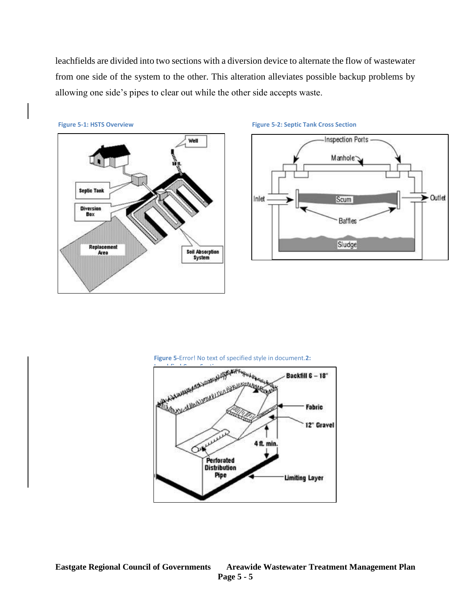leachfields are divided into two sections with a diversion device to alternate the flow of wastewater from one side of the system to the other. This alteration alleviates possible backup problems by allowing one side's pipes to clear out while the other side accepts waste.



#### **Figure 5-1: HSTS Overview Figure 5-2: Septic Tank Cross Section**



#### **Figure 5-**Error! No text of specified style in document.**2:**

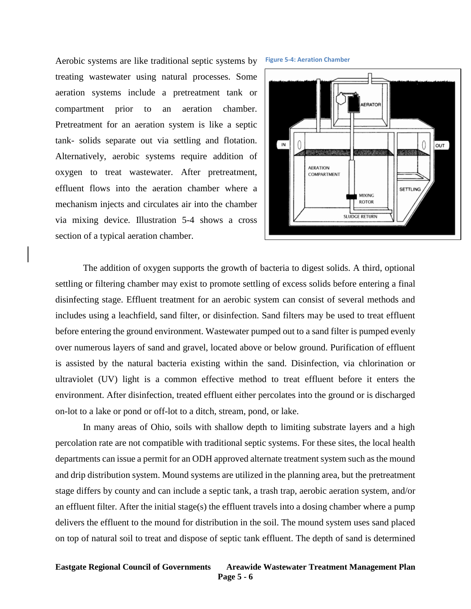Aerobic systems are like traditional septic systems by treating wastewater using natural processes. Some aeration systems include a pretreatment tank or compartment prior to an aeration chamber. Pretreatment for an aeration system is like a septic tank- solids separate out via settling and flotation. Alternatively, aerobic systems require addition of oxygen to treat wastewater. After pretreatment, effluent flows into the aeration chamber where a mechanism injects and circulates air into the chamber via mixing device. Illustration 5-4 shows a cross section of a typical aeration chamber.



**Figure 5-4: Aeration Chamber**

The addition of oxygen supports the growth of bacteria to digest solids. A third, optional settling or filtering chamber may exist to promote settling of excess solids before entering a final disinfecting stage. Effluent treatment for an aerobic system can consist of several methods and includes using a leachfield, sand filter, or disinfection. Sand filters may be used to treat effluent before entering the ground environment. Wastewater pumped out to a sand filter is pumped evenly over numerous layers of sand and gravel, located above or below ground. Purification of effluent is assisted by the natural bacteria existing within the sand. Disinfection, via chlorination or ultraviolet (UV) light is a common effective method to treat effluent before it enters the environment. After disinfection, treated effluent either percolates into the ground or is discharged on-lot to a lake or pond or off-lot to a ditch, stream, pond, or lake.

In many areas of Ohio, soils with shallow depth to limiting substrate layers and a high percolation rate are not compatible with traditional septic systems. For these sites, the local health departments can issue a permit for an ODH approved alternate treatment system such as the mound and drip distribution system. Mound systems are utilized in the planning area, but the pretreatment stage differs by county and can include a septic tank, a trash trap, aerobic aeration system, and/or an effluent filter. After the initial stage(s) the effluent travels into a dosing chamber where a pump delivers the effluent to the mound for distribution in the soil. The mound system uses sand placed on top of natural soil to treat and dispose of septic tank effluent. The depth of sand is determined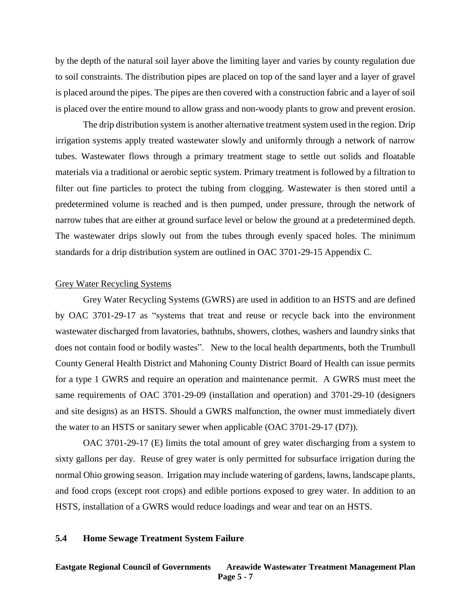by the depth of the natural soil layer above the limiting layer and varies by county regulation due to soil constraints. The distribution pipes are placed on top of the sand layer and a layer of gravel is placed around the pipes. The pipes are then covered with a construction fabric and a layer of soil is placed over the entire mound to allow grass and non-woody plants to grow and prevent erosion.

The drip distribution system is another alternative treatment system used in the region. Drip irrigation systems apply treated wastewater slowly and uniformly through a network of narrow tubes. Wastewater flows through a primary treatment stage to settle out solids and floatable materials via a traditional or aerobic septic system. Primary treatment is followed by a filtration to filter out fine particles to protect the tubing from clogging. Wastewater is then stored until a predetermined volume is reached and is then pumped, under pressure, through the network of narrow tubes that are either at ground surface level or below the ground at a predetermined depth. The wastewater drips slowly out from the tubes through evenly spaced holes. The minimum standards for a drip distribution system are outlined in OAC 3701-29-15 Appendix C.

#### Grey Water Recycling Systems

Grey Water Recycling Systems (GWRS) are used in addition to an HSTS and are defined by OAC 3701-29-17 as "systems that treat and reuse or recycle back into the environment wastewater discharged from lavatories, bathtubs, showers, clothes, washers and laundry sinks that does not contain food or bodily wastes". New to the local health departments, both the Trumbull County General Health District and Mahoning County District Board of Health can issue permits for a type 1 GWRS and require an operation and maintenance permit. A GWRS must meet the same requirements of OAC 3701-29-09 (installation and operation) and 3701-29-10 (designers and site designs) as an HSTS. Should a GWRS malfunction, the owner must immediately divert the water to an HSTS or sanitary sewer when applicable (OAC 3701-29-17 (D7)).

OAC 3701-29-17 (E) limits the total amount of grey water discharging from a system to sixty gallons per day. Reuse of grey water is only permitted for subsurface irrigation during the normal Ohio growing season. Irrigation may include watering of gardens, lawns, landscape plants, and food crops (except root crops) and edible portions exposed to grey water. In addition to an HSTS, installation of a GWRS would reduce loadings and wear and tear on an HSTS.

#### **5.4 Home Sewage Treatment System Failure**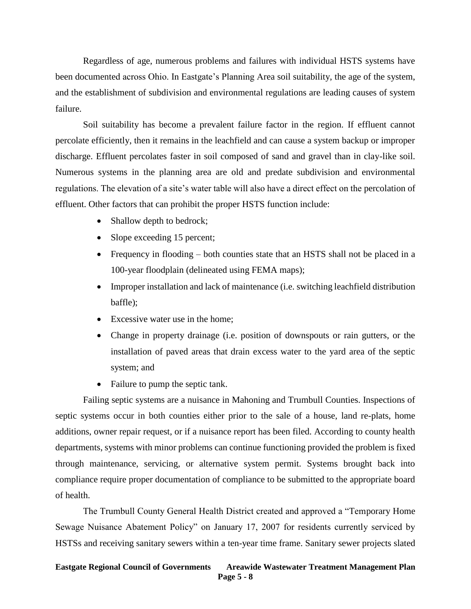Regardless of age, numerous problems and failures with individual HSTS systems have been documented across Ohio. In Eastgate's Planning Area soil suitability, the age of the system, and the establishment of subdivision and environmental regulations are leading causes of system failure.

Soil suitability has become a prevalent failure factor in the region. If effluent cannot percolate efficiently, then it remains in the leachfield and can cause a system backup or improper discharge. Effluent percolates faster in soil composed of sand and gravel than in clay-like soil. Numerous systems in the planning area are old and predate subdivision and environmental regulations. The elevation of a site's water table will also have a direct effect on the percolation of effluent. Other factors that can prohibit the proper HSTS function include:

- Shallow depth to bedrock;
- Slope exceeding 15 percent;
- Frequency in flooding both counties state that an HSTS shall not be placed in a 100-year floodplain (delineated using FEMA maps);
- Improper installation and lack of maintenance (i.e. switching leachfield distribution baffle);
- Excessive water use in the home;
- Change in property drainage (i.e. position of downspouts or rain gutters, or the installation of paved areas that drain excess water to the yard area of the septic system; and
- Failure to pump the septic tank.

Failing septic systems are a nuisance in Mahoning and Trumbull Counties. Inspections of septic systems occur in both counties either prior to the sale of a house, land re-plats, home additions, owner repair request, or if a nuisance report has been filed. According to county health departments, systems with minor problems can continue functioning provided the problem is fixed through maintenance, servicing, or alternative system permit. Systems brought back into compliance require proper documentation of compliance to be submitted to the appropriate board of health.

The Trumbull County General Health District created and approved a "Temporary Home Sewage Nuisance Abatement Policy" on January 17, 2007 for residents currently serviced by HSTSs and receiving sanitary sewers within a ten-year time frame. Sanitary sewer projects slated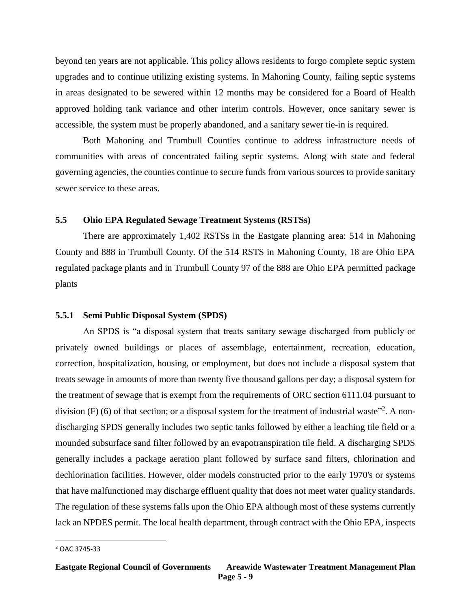beyond ten years are not applicable. This policy allows residents to forgo complete septic system upgrades and to continue utilizing existing systems. In Mahoning County, failing septic systems in areas designated to be sewered within 12 months may be considered for a Board of Health approved holding tank variance and other interim controls. However, once sanitary sewer is accessible, the system must be properly abandoned, and a sanitary sewer tie-in is required.

Both Mahoning and Trumbull Counties continue to address infrastructure needs of communities with areas of concentrated failing septic systems. Along with state and federal governing agencies, the counties continue to secure funds from various sources to provide sanitary sewer service to these areas.

# **5.5 Ohio EPA Regulated Sewage Treatment Systems (RSTSs)**

There are approximately 1,402 RSTSs in the Eastgate planning area: 514 in Mahoning County and 888 in Trumbull County. Of the 514 RSTS in Mahoning County, 18 are Ohio EPA regulated package plants and in Trumbull County 97 of the 888 are Ohio EPA permitted package plants

# **5.5.1 Semi Public Disposal System (SPDS)**

An SPDS is "a disposal system that treats sanitary sewage discharged from publicly or privately owned buildings or places of assemblage, entertainment, recreation, education, correction, hospitalization, housing, or employment, but does not include a disposal system that treats sewage in amounts of more than twenty five thousand gallons per day; a disposal system for the treatment of sewage that is exempt from the requirements of ORC section 6111.04 pursuant to division (F) (6) of that section; or a disposal system for the treatment of industrial waste<sup>32</sup>. A nondischarging SPDS generally includes two septic tanks followed by either a leaching tile field or a mounded subsurface sand filter followed by an evapotranspiration tile field. A discharging SPDS generally includes a package aeration plant followed by surface sand filters, chlorination and dechlorination facilities. However, older models constructed prior to the early 1970's or systems that have malfunctioned may discharge effluent quality that does not meet water quality standards. The regulation of these systems falls upon the Ohio EPA although most of these systems currently lack an NPDES permit. The local health department, through contract with the Ohio EPA, inspects

 $\overline{\phantom{a}}$ 

<sup>2</sup> OAC 3745-33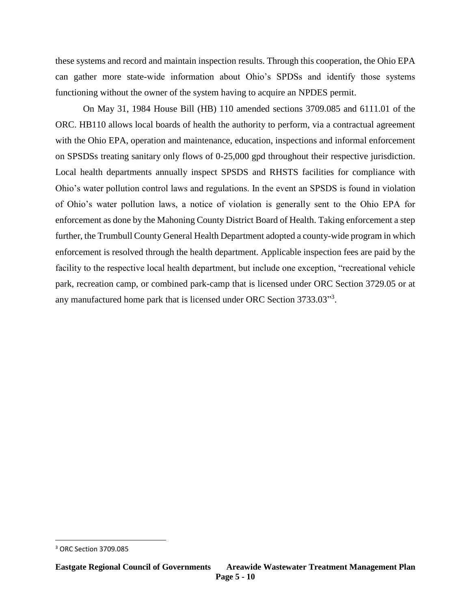these systems and record and maintain inspection results. Through this cooperation, the Ohio EPA can gather more state-wide information about Ohio's SPDSs and identify those systems functioning without the owner of the system having to acquire an NPDES permit.

On May 31, 1984 House Bill (HB) 110 amended sections 3709.085 and 6111.01 of the ORC. HB110 allows local boards of health the authority to perform, via a contractual agreement with the Ohio EPA, operation and maintenance, education, inspections and informal enforcement on SPSDSs treating sanitary only flows of 0-25,000 gpd throughout their respective jurisdiction. Local health departments annually inspect SPSDS and RHSTS facilities for compliance with Ohio's water pollution control laws and regulations. In the event an SPSDS is found in violation of Ohio's water pollution laws, a notice of violation is generally sent to the Ohio EPA for enforcement as done by the Mahoning County District Board of Health. Taking enforcement a step further, the Trumbull County General Health Department adopted a county-wide program in which enforcement is resolved through the health department. Applicable inspection fees are paid by the facility to the respective local health department, but include one exception, "recreational vehicle park, recreation camp, or combined park-camp that is licensed under ORC Section 3729.05 or at any manufactured home park that is licensed under ORC Section 3733.03"<sup>3</sup>.

 $\overline{\phantom{a}}$ 

<sup>3</sup> ORC Section 3709.085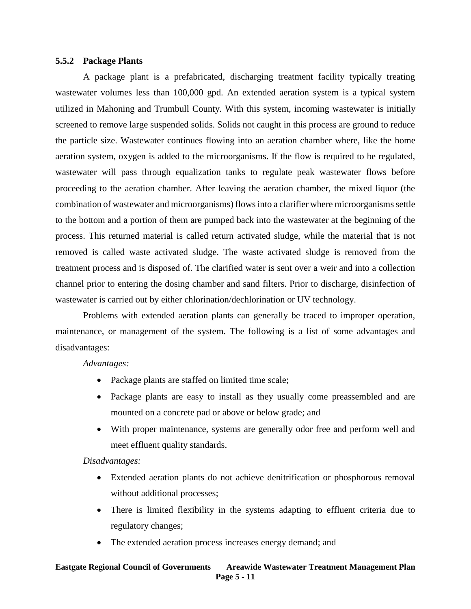#### **5.5.2 Package Plants**

A package plant is a prefabricated, discharging treatment facility typically treating wastewater volumes less than 100,000 gpd. An extended aeration system is a typical system utilized in Mahoning and Trumbull County. With this system, incoming wastewater is initially screened to remove large suspended solids. Solids not caught in this process are ground to reduce the particle size. Wastewater continues flowing into an aeration chamber where, like the home aeration system, oxygen is added to the microorganisms. If the flow is required to be regulated, wastewater will pass through equalization tanks to regulate peak wastewater flows before proceeding to the aeration chamber. After leaving the aeration chamber, the mixed liquor (the combination of wastewater and microorganisms) flows into a clarifier where microorganisms settle to the bottom and a portion of them are pumped back into the wastewater at the beginning of the process. This returned material is called return activated sludge, while the material that is not removed is called waste activated sludge. The waste activated sludge is removed from the treatment process and is disposed of. The clarified water is sent over a weir and into a collection channel prior to entering the dosing chamber and sand filters. Prior to discharge, disinfection of wastewater is carried out by either chlorination/dechlorination or UV technology.

Problems with extended aeration plants can generally be traced to improper operation, maintenance, or management of the system. The following is a list of some advantages and disadvantages:

## *Advantages:*

- Package plants are staffed on limited time scale;
- Package plants are easy to install as they usually come preassembled and are mounted on a concrete pad or above or below grade; and
- With proper maintenance, systems are generally odor free and perform well and meet effluent quality standards.

## *Disadvantages:*

- Extended aeration plants do not achieve denitrification or phosphorous removal without additional processes;
- There is limited flexibility in the systems adapting to effluent criteria due to regulatory changes;
- The extended aeration process increases energy demand; and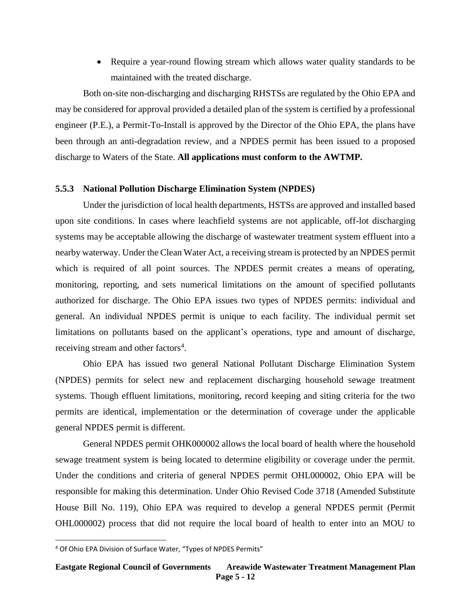• Require a year-round flowing stream which allows water quality standards to be maintained with the treated discharge.

Both on-site non-discharging and discharging RHSTSs are regulated by the Ohio EPA and may be considered for approval provided a detailed plan of the system is certified by a professional engineer (P.E.), a Permit-To-Install is approved by the Director of the Ohio EPA, the plans have been through an anti-degradation review, and a NPDES permit has been issued to a proposed discharge to Waters of the State. **All applications must conform to the AWTMP.**

### **5.5.3 National Pollution Discharge Elimination System (NPDES)**

Under the jurisdiction of local health departments, HSTSs are approved and installed based upon site conditions. In cases where leachfield systems are not applicable, off-lot discharging systems may be acceptable allowing the discharge of wastewater treatment system effluent into a nearby waterway. Under the Clean Water Act, a receiving stream is protected by an NPDES permit which is required of all point sources. The NPDES permit creates a means of operating, monitoring, reporting, and sets numerical limitations on the amount of specified pollutants authorized for discharge. The Ohio EPA issues two types of NPDES permits: individual and general. An individual NPDES permit is unique to each facility. The individual permit set limitations on pollutants based on the applicant's operations, type and amount of discharge, receiving stream and other factors<sup>4</sup>.

Ohio EPA has issued two general National Pollutant Discharge Elimination System (NPDES) permits for select new and replacement discharging household sewage treatment systems. Though effluent limitations, monitoring, record keeping and siting criteria for the two permits are identical, implementation or the determination of coverage under the applicable general NPDES permit is different.

General NPDES permit OHK000002 allows the local board of health where the household sewage treatment system is being located to determine eligibility or coverage under the permit. Under the conditions and criteria of general NPDES permit OHL000002, Ohio EPA will be responsible for making this determination. Under Ohio Revised Code 3718 (Amended Substitute House Bill No. 119), Ohio EPA was required to develop a general NPDES permit (Permit OHL000002) process that did not require the local board of health to enter into an MOU to

 $\overline{\phantom{a}}$ 

<sup>4</sup> Of Ohio EPA Division of Surface Water, "Types of NPDES Permits"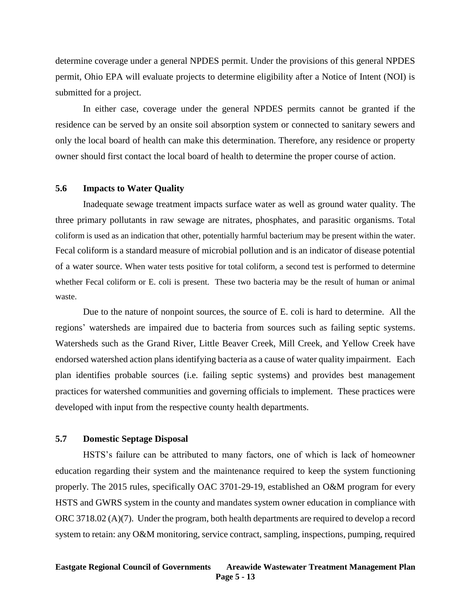determine coverage under a general NPDES permit. Under the provisions of this general NPDES permit, Ohio EPA will evaluate projects to determine eligibility after a Notice of Intent (NOI) is submitted for a project.

In either case, coverage under the general NPDES permits cannot be granted if the residence can be served by an onsite soil absorption system or connected to sanitary sewers and only the local board of health can make this determination. Therefore, any residence or property owner should first contact the local board of health to determine the proper course of action.

#### **5.6 Impacts to Water Quality**

Inadequate sewage treatment impacts surface water as well as ground water quality. The three primary pollutants in raw sewage are nitrates, phosphates, and parasitic organisms. Total coliform is used as an indication that other, potentially harmful bacterium may be present within the water. Fecal coliform is a standard measure of microbial pollution and is an indicator of disease potential of a water source. When water tests positive for total coliform, a second test is performed to determine whether Fecal coliform or E. coli is present. These two bacteria may be the result of human or animal waste.

Due to the nature of nonpoint sources, the source of E. coli is hard to determine. All the regions' watersheds are impaired due to bacteria from sources such as failing septic systems. Watersheds such as the Grand River, Little Beaver Creek, Mill Creek, and Yellow Creek have endorsed watershed action plans identifying bacteria as a cause of water quality impairment. Each plan identifies probable sources (i.e. failing septic systems) and provides best management practices for watershed communities and governing officials to implement. These practices were developed with input from the respective county health departments.

#### **5.7 Domestic Septage Disposal**

HSTS's failure can be attributed to many factors, one of which is lack of homeowner education regarding their system and the maintenance required to keep the system functioning properly. The 2015 rules, specifically OAC 3701-29-19, established an O&M program for every HSTS and GWRS system in the county and mandates system owner education in compliance with ORC 3718.02 (A)(7). Under the program, both health departments are required to develop a record system to retain: any O&M monitoring, service contract, sampling, inspections, pumping, required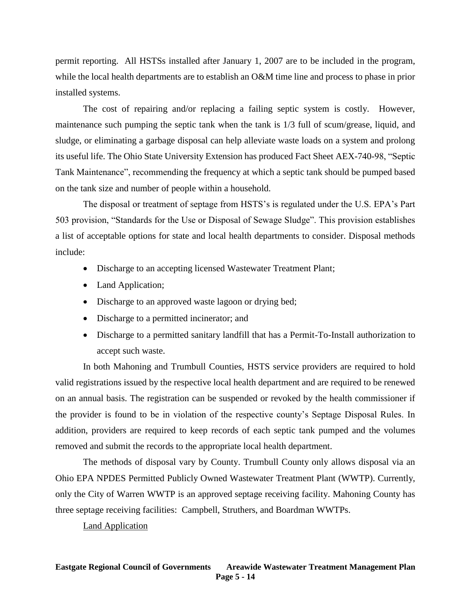permit reporting. All HSTSs installed after January 1, 2007 are to be included in the program, while the local health departments are to establish an O&M time line and process to phase in prior installed systems.

The cost of repairing and/or replacing a failing septic system is costly. However, maintenance such pumping the septic tank when the tank is 1/3 full of scum/grease, liquid, and sludge, or eliminating a garbage disposal can help alleviate waste loads on a system and prolong its useful life. The Ohio State University Extension has produced Fact Sheet AEX-740-98, "Septic Tank Maintenance", recommending the frequency at which a septic tank should be pumped based on the tank size and number of people within a household.

The disposal or treatment of septage from HSTS's is regulated under the U.S. EPA's Part 503 provision, "Standards for the Use or Disposal of Sewage Sludge". This provision establishes a list of acceptable options for state and local health departments to consider. Disposal methods include:

- Discharge to an accepting licensed Wastewater Treatment Plant;
- Land Application;
- Discharge to an approved waste lagoon or drying bed;
- Discharge to a permitted incinerator; and
- Discharge to a permitted sanitary landfill that has a Permit-To-Install authorization to accept such waste.

In both Mahoning and Trumbull Counties, HSTS service providers are required to hold valid registrations issued by the respective local health department and are required to be renewed on an annual basis. The registration can be suspended or revoked by the health commissioner if the provider is found to be in violation of the respective county's Septage Disposal Rules. In addition, providers are required to keep records of each septic tank pumped and the volumes removed and submit the records to the appropriate local health department.

The methods of disposal vary by County. Trumbull County only allows disposal via an Ohio EPA NPDES Permitted Publicly Owned Wastewater Treatment Plant (WWTP). Currently, only the City of Warren WWTP is an approved septage receiving facility. Mahoning County has three septage receiving facilities: Campbell, Struthers, and Boardman WWTPs.

#### Land Application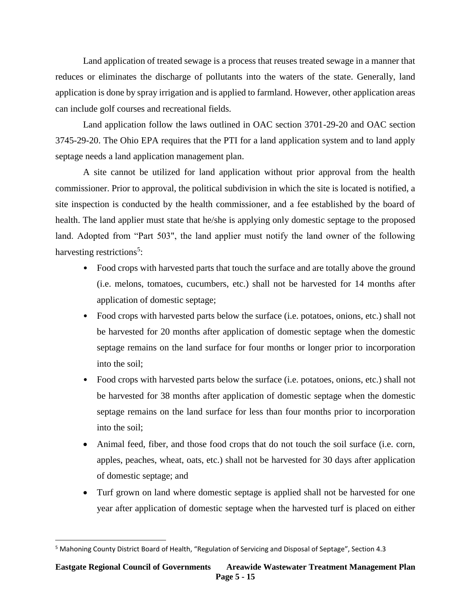Land application of treated sewage is a process that reuses treated sewage in a manner that reduces or eliminates the discharge of pollutants into the waters of the state. Generally, land application is done by spray irrigation and is applied to farmland. However, other application areas can include golf courses and recreational fields.

Land application follow the laws outlined in OAC section 3701-29-20 and OAC section 3745-29-20. The Ohio EPA requires that the PTI for a land application system and to land apply septage needs a land application management plan.

A site cannot be utilized for land application without prior approval from the health commissioner. Prior to approval, the political subdivision in which the site is located is notified, a site inspection is conducted by the health commissioner, and a fee established by the board of health. The land applier must state that he/she is applying only domestic septage to the proposed land. Adopted from "Part 503", the land applier must notify the land owner of the following harvesting restrictions<sup>5</sup>:

- Food crops with harvested parts that touch the surface and are totally above the ground (i.e. melons, tomatoes, cucumbers, etc.) shall not be harvested for 14 months after application of domestic septage;
- Food crops with harvested parts below the surface (i.e. potatoes, onions, etc.) shall not be harvested for 20 months after application of domestic septage when the domestic septage remains on the land surface for four months or longer prior to incorporation into the soil;
- Food crops with harvested parts below the surface (i.e. potatoes, onions, etc.) shall not be harvested for 38 months after application of domestic septage when the domestic septage remains on the land surface for less than four months prior to incorporation into the soil;
- Animal feed, fiber, and those food crops that do not touch the soil surface (i.e. corn, apples, peaches, wheat, oats, etc.) shall not be harvested for 30 days after application of domestic septage; and
- Turf grown on land where domestic septage is applied shall not be harvested for one year after application of domestic septage when the harvested turf is placed on either

 $\overline{\phantom{a}}$ 

<sup>5</sup> Mahoning County District Board of Health, "Regulation of Servicing and Disposal of Septage", Section 4.3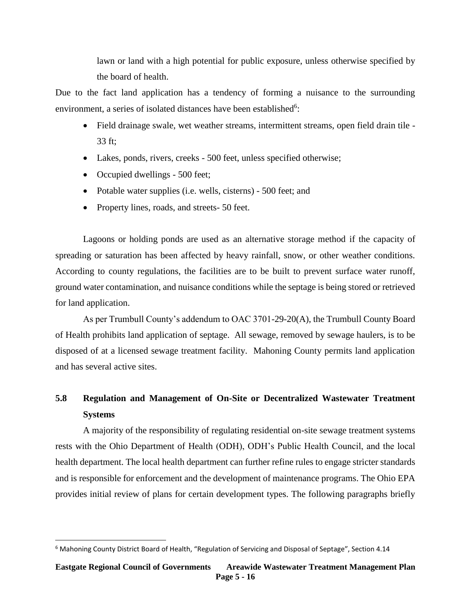lawn or land with a high potential for public exposure, unless otherwise specified by the board of health.

Due to the fact land application has a tendency of forming a nuisance to the surrounding environment, a series of isolated distances have been established<sup>6</sup>:

- Field drainage swale, wet weather streams, intermittent streams, open field drain tile -33 ft;
- Lakes, ponds, rivers, creeks 500 feet, unless specified otherwise;
- Occupied dwellings 500 feet;

 $\overline{\phantom{a}}$ 

- Potable water supplies (i.e. wells, cisterns) 500 feet; and
- Property lines, roads, and streets- 50 feet.

Lagoons or holding ponds are used as an alternative storage method if the capacity of spreading or saturation has been affected by heavy rainfall, snow, or other weather conditions. According to county regulations, the facilities are to be built to prevent surface water runoff, ground water contamination, and nuisance conditions while the septage is being stored or retrieved for land application.

As per Trumbull County's addendum to OAC 3701-29-20(A), the Trumbull County Board of Health prohibits land application of septage. All sewage, removed by sewage haulers, is to be disposed of at a licensed sewage treatment facility. Mahoning County permits land application and has several active sites.

# **5.8 Regulation and Management of On-Site or Decentralized Wastewater Treatment Systems**

A majority of the responsibility of regulating residential on-site sewage treatment systems rests with the Ohio Department of Health (ODH), ODH's Public Health Council, and the local health department. The local health department can further refine rules to engage stricter standards and is responsible for enforcement and the development of maintenance programs. The Ohio EPA provides initial review of plans for certain development types. The following paragraphs briefly

<sup>&</sup>lt;sup>6</sup> Mahoning County District Board of Health, "Regulation of Servicing and Disposal of Septage", Section 4.14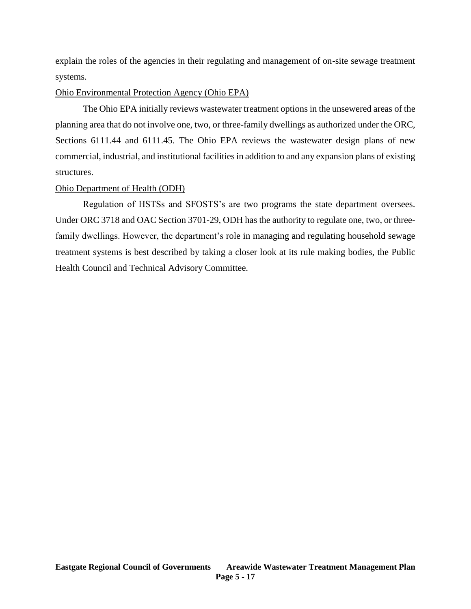explain the roles of the agencies in their regulating and management of on-site sewage treatment systems.

#### Ohio Environmental Protection Agency (Ohio EPA)

The Ohio EPA initially reviews wastewater treatment options in the unsewered areas of the planning area that do not involve one, two, or three-family dwellings as authorized under the ORC, Sections 6111.44 and 6111.45. The Ohio EPA reviews the wastewater design plans of new commercial, industrial, and institutional facilities in addition to and any expansion plans of existing structures.

### Ohio Department of Health (ODH)

Regulation of HSTSs and SFOSTS's are two programs the state department oversees. Under ORC 3718 and OAC Section 3701-29, ODH has the authority to regulate one, two, or threefamily dwellings. However, the department's role in managing and regulating household sewage treatment systems is best described by taking a closer look at its rule making bodies, the Public Health Council and Technical Advisory Committee.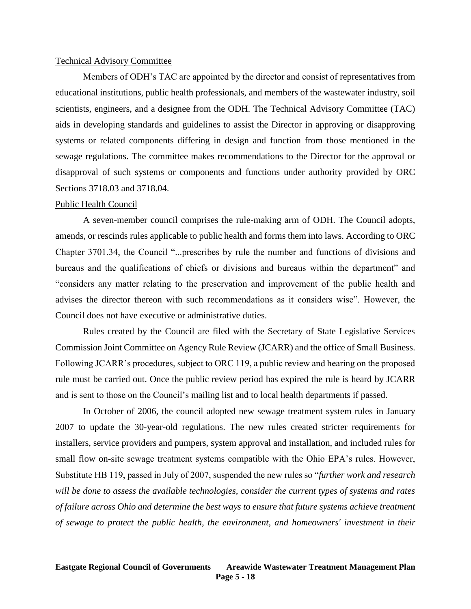#### Technical Advisory Committee

Members of ODH's TAC are appointed by the director and consist of representatives from educational institutions, public health professionals, and members of the wastewater industry, soil scientists, engineers, and a designee from the ODH. The Technical Advisory Committee (TAC) aids in developing standards and guidelines to assist the Director in approving or disapproving systems or related components differing in design and function from those mentioned in the sewage regulations. The committee makes recommendations to the Director for the approval or disapproval of such systems or components and functions under authority provided by ORC Sections 3718.03 and 3718.04.

#### Public Health Council

A seven-member council comprises the rule-making arm of ODH. The Council adopts, amends, or rescinds rules applicable to public health and forms them into laws. According to ORC Chapter 3701.34, the Council "...prescribes by rule the number and functions of divisions and bureaus and the qualifications of chiefs or divisions and bureaus within the department" and "considers any matter relating to the preservation and improvement of the public health and advises the director thereon with such recommendations as it considers wise". However, the Council does not have executive or administrative duties.

Rules created by the Council are filed with the Secretary of State Legislative Services Commission Joint Committee on Agency Rule Review (JCARR) and the office of Small Business. Following JCARR's procedures, subject to ORC 119, a public review and hearing on the proposed rule must be carried out. Once the public review period has expired the rule is heard by JCARR and is sent to those on the Council's mailing list and to local health departments if passed.

In October of 2006, the council adopted new sewage treatment system rules in January 2007 to update the 30-year-old regulations. The new rules created stricter requirements for installers, service providers and pumpers, system approval and installation, and included rules for small flow on-site sewage treatment systems compatible with the Ohio EPA's rules. However, Substitute HB 119, passed in July of 2007, suspended the new rules so "*further work and research will be done to assess the available technologies, consider the current types of systems and rates of failure across Ohio and determine the best ways to ensure that future systems achieve treatment of sewage to protect the public health, the environment, and homeowners' investment in their*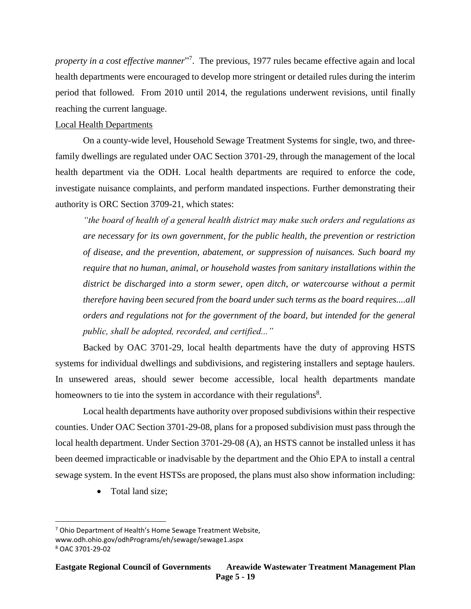property in a cost effective manner<sup>"7</sup>. The previous, 1977 rules became effective again and local health departments were encouraged to develop more stringent or detailed rules during the interim period that followed. From 2010 until 2014, the regulations underwent revisions, until finally reaching the current language.

# Local Health Departments

On a county-wide level, Household Sewage Treatment Systems for single, two, and threefamily dwellings are regulated under OAC Section 3701-29, through the management of the local health department via the ODH. Local health departments are required to enforce the code, investigate nuisance complaints, and perform mandated inspections. Further demonstrating their authority is ORC Section 3709-21, which states:

*"the board of health of a general health district may make such orders and regulations as are necessary for its own government, for the public health, the prevention or restriction of disease, and the prevention, abatement, or suppression of nuisances. Such board my require that no human, animal, or household wastes from sanitary installations within the district be discharged into a storm sewer, open ditch, or watercourse without a permit therefore having been secured from the board under such terms as the board requires....all orders and regulations not for the government of the board, but intended for the general public, shall be adopted, recorded, and certified..."*

Backed by OAC 3701-29, local health departments have the duty of approving HSTS systems for individual dwellings and subdivisions, and registering installers and septage haulers. In unsewered areas, should sewer become accessible, local health departments mandate homeowners to tie into the system in accordance with their regulations<sup>8</sup>.

Local health departments have authority over proposed subdivisions within their respective counties. Under OAC Section 3701-29-08, plans for a proposed subdivision must pass through the local health department. Under Section 3701-29-08 (A), an HSTS cannot be installed unless it has been deemed impracticable or inadvisable by the department and the Ohio EPA to install a central sewage system. In the event HSTSs are proposed, the plans must also show information including:

• Total land size:

www.odh.ohio.gov/odhPrograms/eh/sewage/sewage1.aspx

 $\overline{a}$ <sup>7</sup> Ohio Department of Health's Home Sewage Treatment Website,

<sup>8</sup> OAC 3701-29-02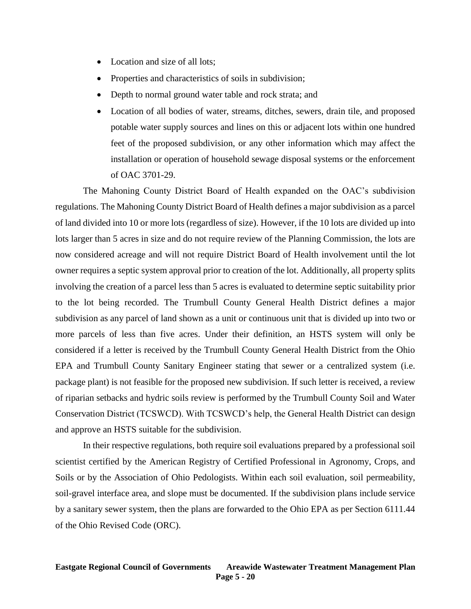- Location and size of all lots;
- Properties and characteristics of soils in subdivision;
- Depth to normal ground water table and rock strata; and
- Location of all bodies of water, streams, ditches, sewers, drain tile, and proposed potable water supply sources and lines on this or adjacent lots within one hundred feet of the proposed subdivision, or any other information which may affect the installation or operation of household sewage disposal systems or the enforcement of OAC 3701-29.

The Mahoning County District Board of Health expanded on the OAC's subdivision regulations. The Mahoning County District Board of Health defines a major subdivision as a parcel of land divided into 10 or more lots (regardless of size). However, if the 10 lots are divided up into lots larger than 5 acres in size and do not require review of the Planning Commission, the lots are now considered acreage and will not require District Board of Health involvement until the lot owner requires a septic system approval prior to creation of the lot. Additionally, all property splits involving the creation of a parcel less than 5 acres is evaluated to determine septic suitability prior to the lot being recorded. The Trumbull County General Health District defines a major subdivision as any parcel of land shown as a unit or continuous unit that is divided up into two or more parcels of less than five acres. Under their definition, an HSTS system will only be considered if a letter is received by the Trumbull County General Health District from the Ohio EPA and Trumbull County Sanitary Engineer stating that sewer or a centralized system (i.e. package plant) is not feasible for the proposed new subdivision. If such letter is received, a review of riparian setbacks and hydric soils review is performed by the Trumbull County Soil and Water Conservation District (TCSWCD). With TCSWCD's help, the General Health District can design and approve an HSTS suitable for the subdivision.

In their respective regulations, both require soil evaluations prepared by a professional soil scientist certified by the American Registry of Certified Professional in Agronomy, Crops, and Soils or by the Association of Ohio Pedologists. Within each soil evaluation, soil permeability, soil-gravel interface area, and slope must be documented. If the subdivision plans include service by a sanitary sewer system, then the plans are forwarded to the Ohio EPA as per Section 6111.44 of the Ohio Revised Code (ORC).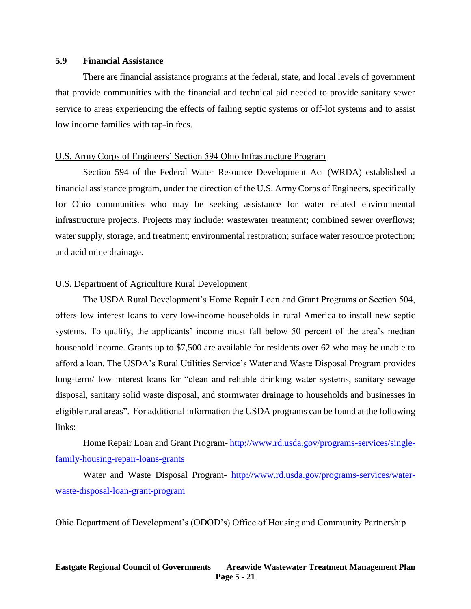## **5.9 Financial Assistance**

There are financial assistance programs at the federal, state, and local levels of government that provide communities with the financial and technical aid needed to provide sanitary sewer service to areas experiencing the effects of failing septic systems or off-lot systems and to assist low income families with tap-in fees.

#### U.S. Army Corps of Engineers' Section 594 Ohio Infrastructure Program

Section 594 of the Federal Water Resource Development Act (WRDA) established a financial assistance program, under the direction of the U.S. Army Corps of Engineers, specifically for Ohio communities who may be seeking assistance for water related environmental infrastructure projects. Projects may include: wastewater treatment; combined sewer overflows; water supply, storage, and treatment; environmental restoration; surface water resource protection; and acid mine drainage.

#### U.S. Department of Agriculture Rural Development

The USDA Rural Development's Home Repair Loan and Grant Programs or Section 504, offers low interest loans to very low-income households in rural America to install new septic systems. To qualify, the applicants' income must fall below 50 percent of the area's median household income. Grants up to \$7,500 are available for residents over 62 who may be unable to afford a loan. The USDA's Rural Utilities Service's Water and Waste Disposal Program provides long-term/ low interest loans for "clean and reliable drinking water systems, sanitary sewage disposal, sanitary solid waste disposal, and stormwater drainage to households and businesses in eligible rural areas". For additional information the USDA programs can be found at the following links:

Home Repair Loan and Grant Program- [http://www.rd.usda.gov/programs-services/single](http://www.rd.usda.gov/programs-services/single-family-housing-repair-loans-grants)[family-housing-repair-loans-grants](http://www.rd.usda.gov/programs-services/single-family-housing-repair-loans-grants)

Water and Waste Disposal Program- [http://www.rd.usda.gov/programs-services/water](http://www.rd.usda.gov/programs-services/water-waste-disposal-loan-grant-program)[waste-disposal-loan-grant-program](http://www.rd.usda.gov/programs-services/water-waste-disposal-loan-grant-program)

#### Ohio Department of Development's (ODOD's) Office of Housing and Community Partnership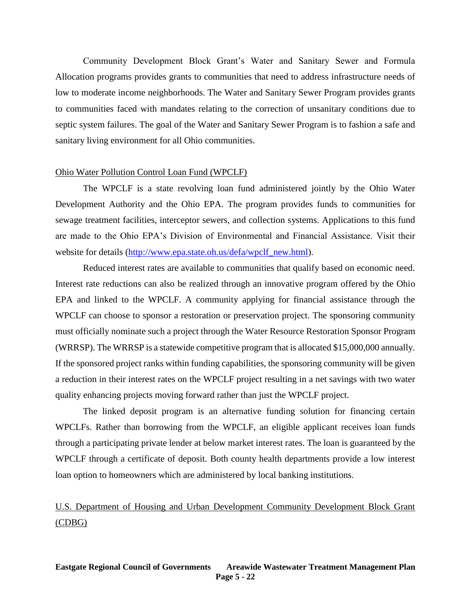Community Development Block Grant's Water and Sanitary Sewer and Formula Allocation programs provides grants to communities that need to address infrastructure needs of low to moderate income neighborhoods. The Water and Sanitary Sewer Program provides grants to communities faced with mandates relating to the correction of unsanitary conditions due to septic system failures. The goal of the Water and Sanitary Sewer Program is to fashion a safe and sanitary living environment for all Ohio communities.

#### Ohio Water Pollution Control Loan Fund (WPCLF)

The WPCLF is a state revolving loan fund administered jointly by the Ohio Water Development Authority and the Ohio EPA. The program provides funds to communities for sewage treatment facilities, interceptor sewers, and collection systems. Applications to this fund are made to the Ohio EPA's Division of Environmental and Financial Assistance. Visit their website for details [\(http://www.epa.state.oh.us/defa/wpclf\\_new.html\)](http://www.epa.state.oh.us/defa/wpclf_new.html).

Reduced interest rates are available to communities that qualify based on economic need. Interest rate reductions can also be realized through an innovative program offered by the Ohio EPA and linked to the WPCLF. A community applying for financial assistance through the WPCLF can choose to sponsor a restoration or preservation project. The sponsoring community must officially nominate such a project through the Water Resource Restoration Sponsor Program (WRRSP). The WRRSP is a statewide competitive program that is allocated \$15,000,000 annually. If the sponsored project ranks within funding capabilities, the sponsoring community will be given a reduction in their interest rates on the WPCLF project resulting in a net savings with two water quality enhancing projects moving forward rather than just the WPCLF project.

The linked deposit program is an alternative funding solution for financing certain WPCLFs. Rather than borrowing from the WPCLF, an eligible applicant receives loan funds through a participating private lender at below market interest rates. The loan is guaranteed by the WPCLF through a certificate of deposit. Both county health departments provide a low interest loan option to homeowners which are administered by local banking institutions.

# U.S. Department of Housing and Urban Development Community Development Block Grant (CDBG)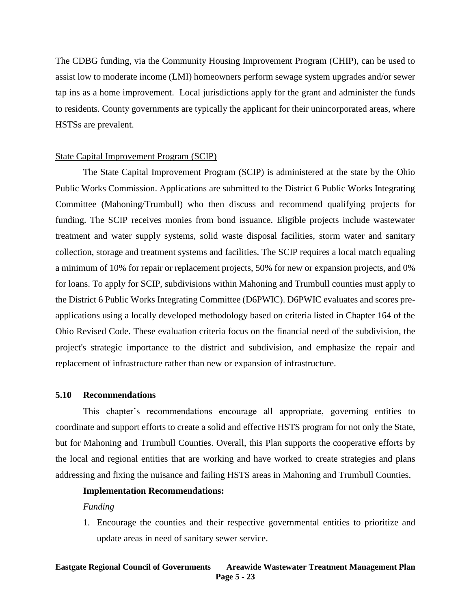The CDBG funding, via the Community Housing Improvement Program (CHIP), can be used to assist low to moderate income (LMI) homeowners perform sewage system upgrades and/or sewer tap ins as a home improvement. Local jurisdictions apply for the grant and administer the funds to residents. County governments are typically the applicant for their unincorporated areas, where HSTSs are prevalent.

#### State Capital Improvement Program (SCIP)

The State Capital Improvement Program (SCIP) is administered at the state by the Ohio Public Works Commission. Applications are submitted to the District 6 Public Works Integrating Committee (Mahoning/Trumbull) who then discuss and recommend qualifying projects for funding. The SCIP receives monies from bond issuance. Eligible projects include wastewater treatment and water supply systems, solid waste disposal facilities, storm water and sanitary collection, storage and treatment systems and facilities. The SCIP requires a local match equaling a minimum of 10% for repair or replacement projects, 50% for new or expansion projects, and 0% for loans. To apply for SCIP, subdivisions within Mahoning and Trumbull counties must apply to the District 6 Public Works Integrating Committee (D6PWIC). D6PWIC evaluates and scores preapplications using a locally developed methodology based on criteria listed in Chapter 164 of the Ohio Revised Code. These evaluation criteria focus on the financial need of the subdivision, the project's strategic importance to the district and subdivision, and emphasize the repair and replacement of infrastructure rather than new or expansion of infrastructure.

## **5.10 Recommendations**

This chapter's recommendations encourage all appropriate, governing entities to coordinate and support efforts to create a solid and effective HSTS program for not only the State, but for Mahoning and Trumbull Counties. Overall, this Plan supports the cooperative efforts by the local and regional entities that are working and have worked to create strategies and plans addressing and fixing the nuisance and failing HSTS areas in Mahoning and Trumbull Counties.

#### **Implementation Recommendations:**

#### *Funding*

1. Encourage the counties and their respective governmental entities to prioritize and update areas in need of sanitary sewer service.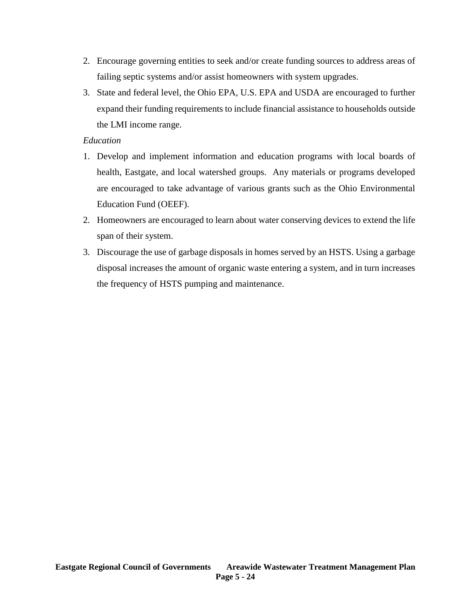- 2. Encourage governing entities to seek and/or create funding sources to address areas of failing septic systems and/or assist homeowners with system upgrades.
- 3. State and federal level, the Ohio EPA, U.S. EPA and USDA are encouraged to further expand their funding requirements to include financial assistance to households outside the LMI income range.

# *Education*

- 1. Develop and implement information and education programs with local boards of health, Eastgate, and local watershed groups. Any materials or programs developed are encouraged to take advantage of various grants such as the Ohio Environmental Education Fund (OEEF).
- 2. Homeowners are encouraged to learn about water conserving devices to extend the life span of their system.
- 3. Discourage the use of garbage disposals in homes served by an HSTS. Using a garbage disposal increases the amount of organic waste entering a system, and in turn increases the frequency of HSTS pumping and maintenance.